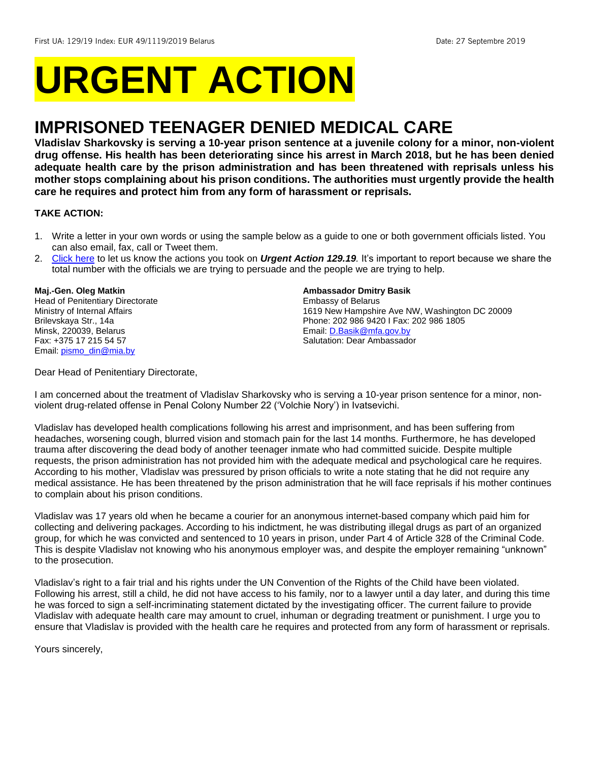# **URGENT ACTION**

# **IMPRISONED TEENAGER DENIED MEDICAL CARE**

**Vladislav Sharkovsky is serving a 10-year prison sentence at a juvenile colony for a minor, non-violent drug offense. His health has been deteriorating since his arrest in March 2018, but he has been denied adequate health care by the prison administration and has been threatened with reprisals unless his mother stops complaining about his prison conditions. The authorities must urgently provide the health care he requires and protect him from any form of harassment or reprisals.**

#### **TAKE ACTION:**

- 1. Write a letter in your own words or using the sample below as a guide to one or both government officials listed. You can also email, fax, call or Tweet them.
- 2. [Click here](https://www.amnestyusa.org/report-urgent-actions/) to let us know the actions you took on *Urgent Action 129.19.* It's important to report because we share the total number with the officials we are trying to persuade and the people we are trying to help.

### **Maj.-Gen. Oleg Matkin**

Head of Penitentiary Directorate Ministry of Internal Affairs Brilevskaya Str., 14a Minsk, 220039, Belarus Fax: +375 17 215 54 57 Email[: pismo\\_din@mia.by](mailto:pismo_din@mia.by)

#### **Ambassador Dmitry Basik**

Embassy of Belarus 1619 New Hampshire Ave NW, Washington DC 20009 Phone: 202 986 9420 I Fax: 202 986 1805 Email[: D.Basik@mfa.gov.by](mailto:D.Basik@mfa.gov.by) Salutation: Dear Ambassador

Dear Head of Penitentiary Directorate,

I am concerned about the treatment of Vladislav Sharkovsky who is serving a 10-year prison sentence for a minor, nonviolent drug-related offense in Penal Colony Number 22 ('Volchie Nory') in Ivatsevichi.

Vladislav has developed health complications following his arrest and imprisonment, and has been suffering from headaches, worsening cough, blurred vision and stomach pain for the last 14 months. Furthermore, he has developed trauma after discovering the dead body of another teenager inmate who had committed suicide. Despite multiple requests, the prison administration has not provided him with the adequate medical and psychological care he requires. According to his mother, Vladislav was pressured by prison officials to write a note stating that he did not require any medical assistance. He has been threatened by the prison administration that he will face reprisals if his mother continues to complain about his prison conditions.

Vladislav was 17 years old when he became a courier for an anonymous internet-based company which paid him for collecting and delivering packages. According to his indictment, he was distributing illegal drugs as part of an organized group, for which he was convicted and sentenced to 10 years in prison, under Part 4 of Article 328 of the Criminal Code. This is despite Vladislav not knowing who his anonymous employer was, and despite the employer remaining "unknown" to the prosecution.

Vladislav's right to a fair trial and his rights under the UN Convention of the Rights of the Child have been violated. Following his arrest, still a child, he did not have access to his family, nor to a lawyer until a day later, and during this time he was forced to sign a self-incriminating statement dictated by the investigating officer. The current failure to provide Vladislav with adequate health care may amount to cruel, inhuman or degrading treatment or punishment. I urge you to ensure that Vladislav is provided with the health care he requires and protected from any form of harassment or reprisals.

Yours sincerely,